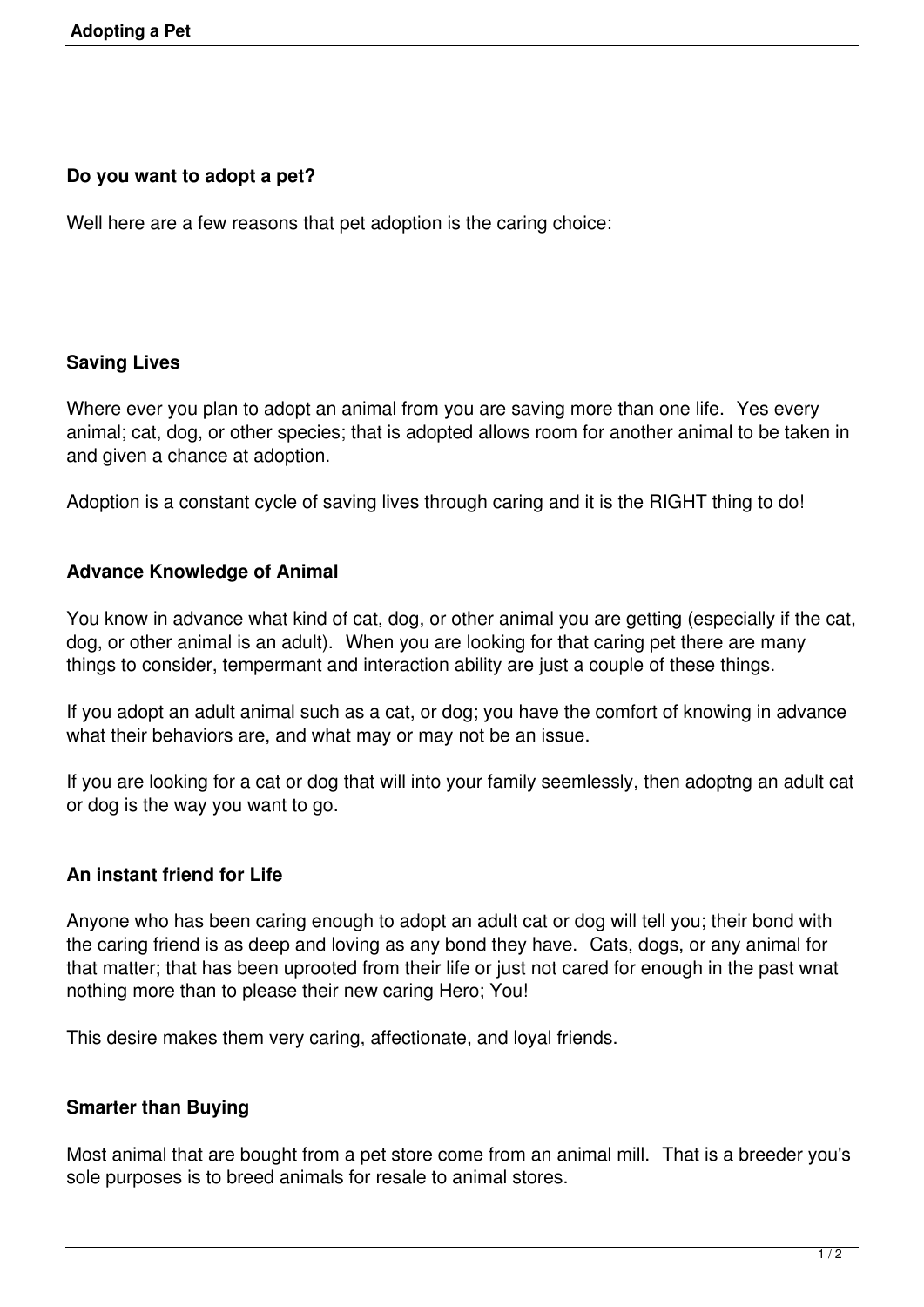## **Do you want to adopt a pet?**

Well here are a few reasons that pet adoption is the caring choice:

### **Saving Lives**

Where ever you plan to adopt an animal from you are saving more than one life. Yes every animal; cat, dog, or other species; that is adopted allows room for another animal to be taken in and given a chance at adoption.

Adoption is a constant cycle of saving lives through caring and it is the RIGHT thing to do!

### **Advance Knowledge of Animal**

You know in advance what kind of cat, dog, or other animal you are getting (especially if the cat, dog, or other animal is an adult). When you are looking for that caring pet there are many things to consider, tempermant and interaction ability are just a couple of these things.

If you adopt an adult animal such as a cat, or dog; you have the comfort of knowing in advance what their behaviors are, and what may or may not be an issue.

If you are looking for a cat or dog that will into your family seemlessly, then adoptng an adult cat or dog is the way you want to go.

#### **An instant friend for Life**

Anyone who has been caring enough to adopt an adult cat or dog will tell you; their bond with the caring friend is as deep and loving as any bond they have. Cats, dogs, or any animal for that matter; that has been uprooted from their life or just not cared for enough in the past wnat nothing more than to please their new caring Hero; You!

This desire makes them very caring, affectionate, and loyal friends.

# **Smarter than Buying**

Most animal that are bought from a pet store come from an animal mill. That is a breeder you's sole purposes is to breed animals for resale to animal stores.